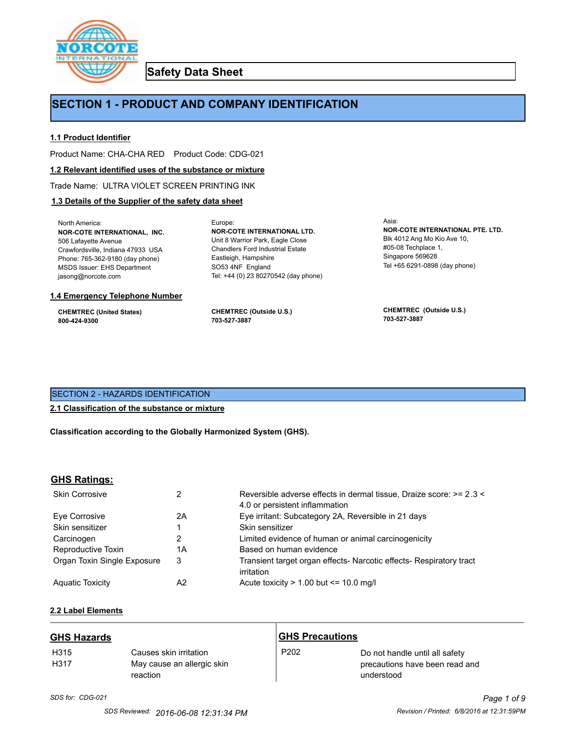

**Safety Data Sheet**

# **SECTION 1 - PRODUCT AND COMPANY IDENTIFICATION**

Europe:

# **1.1 Product Identifier**

Product Name: CHA-CHA RED Product Code: CDG-021

#### **1.2 Relevant identified uses of the substance or mixture**

Trade Name: ULTRA VIOLET SCREEN PRINTING INK

# **1.3 Details of the Supplier of the safety data sheet**

North America: **NOR-COTE INTERNATIONAL, INC.** 506 Lafayette Avenue Crawfordsville, Indiana 47933 USA Phone: 765-362-9180 (day phone) MSDS Issuer: EHS Department jasong@norcote.com

#### **1.4 Emergency Telephone Number**

**CHEMTREC (United States) 800-424-9300**

**CHEMTREC (Outside U.S.) 703-527-3887**

Eastleigh, Hampshire SO53 4NF England

**NOR-COTE INTERNATIONAL LTD.** Unit 8 Warrior Park, Eagle Close Chandlers Ford Industrial Estate

Tel: +44 (0) 23 80270542 (day phone)

Asia: **NOR-COTE INTERNATIONAL PTE. LTD.** Blk 4012 Ang Mo Kio Ave 10, #05-08 Techplace 1, Singapore 569628 Tel +65 6291-0898 (day phone)

**CHEMTREC (Outside U.S.) 703-527-3887**

# SECTION 2 - HAZARDS IDENTIFICATION

#### **2.1 Classification of the substance or mixture**

**Classification according to the Globally Harmonized System (GHS).**

#### **GHS Ratings:**

| <b>Skin Corrosive</b>       | 2  | Reversible adverse effects in dermal tissue, Draize score: >= 2.3 <<br>4.0 or persistent inflammation |
|-----------------------------|----|-------------------------------------------------------------------------------------------------------|
| Eve Corrosive               | 2A | Eye irritant: Subcategory 2A, Reversible in 21 days                                                   |
| Skin sensitizer             |    | Skin sensitizer                                                                                       |
| Carcinogen                  |    | Limited evidence of human or animal carcinogenicity                                                   |
| Reproductive Toxin          | 1A | Based on human evidence                                                                               |
| Organ Toxin Single Exposure | 3  | Transient target organ effects- Narcotic effects- Respiratory tract<br>irritation                     |
| <b>Aguatic Toxicity</b>     | A2 | Acute toxicity $> 1.00$ but $\leq 10.0$ mg/l                                                          |

# **2.2 Label Elements**

| <b>GHS Hazards</b>       |                                                                  | <b>GHS Precautions</b> |                                                                                |
|--------------------------|------------------------------------------------------------------|------------------------|--------------------------------------------------------------------------------|
| H <sub>315</sub><br>H317 | Causes skin irritation<br>May cause an allergic skin<br>reaction | P <sub>202</sub>       | Do not handle until all safety<br>precautions have been read and<br>understood |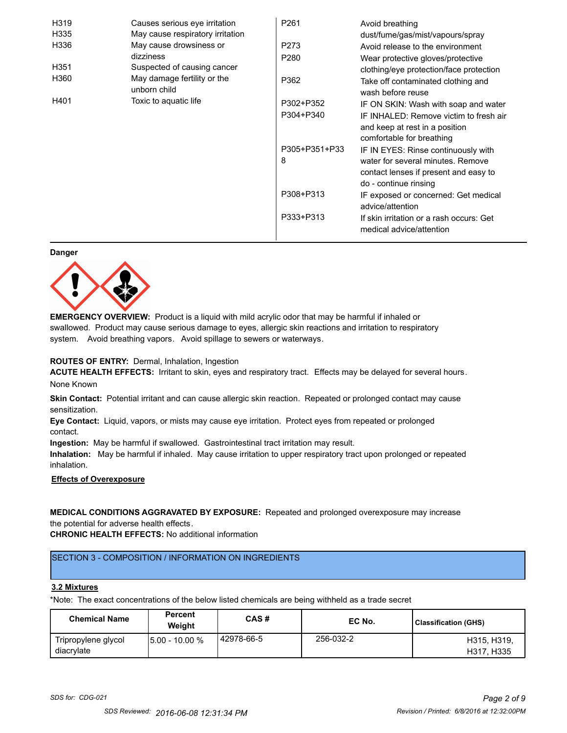| H319 | Causes serious eye irritation               | P <sub>261</sub> | Avoid breathing                                                      |
|------|---------------------------------------------|------------------|----------------------------------------------------------------------|
| H335 | May cause respiratory irritation            |                  | dust/fume/gas/mist/vapours/spray                                     |
| H336 | May cause drowsiness or                     | P273             | Avoid release to the environment                                     |
|      | dizziness                                   | P <sub>280</sub> | Wear protective gloves/protective                                    |
| H351 | Suspected of causing cancer                 |                  | clothing/eye protection/face protection                              |
| H360 | May damage fertility or the<br>unborn child | P362             | Take off contaminated clothing and<br>wash before reuse              |
| H401 | Toxic to aquatic life                       | P302+P352        | IF ON SKIN: Wash with soap and water                                 |
|      |                                             | P304+P340        | IF INHALED: Remove victim to fresh air                               |
|      |                                             |                  | and keep at rest in a position                                       |
|      |                                             |                  | comfortable for breathing                                            |
|      |                                             | P305+P351+P33    | IF IN EYES: Rinse continuously with                                  |
|      |                                             | 8                | water for several minutes. Remove                                    |
|      |                                             |                  | contact lenses if present and easy to                                |
|      |                                             |                  | do - continue rinsing                                                |
|      |                                             | P308+P313        | IF exposed or concerned: Get medical                                 |
|      |                                             |                  | advice/attention                                                     |
|      |                                             | P333+P313        | If skin irritation or a rash occurs: Get<br>medical advice/attention |

#### **Danger**



**EMERGENCY OVERVIEW:** Product is a liquid with mild acrylic odor that may be harmful if inhaled or swallowed. Product may cause serious damage to eyes, allergic skin reactions and irritation to respiratory system. Avoid breathing vapors. Avoid spillage to sewers or waterways.

#### **ROUTES OF ENTRY:** Dermal, Inhalation, Ingestion

**ACUTE HEALTH EFFECTS:** Irritant to skin, eyes and respiratory tract. Effects may be delayed for several hours. None Known

**Skin Contact:** Potential irritant and can cause allergic skin reaction. Repeated or prolonged contact may cause sensitization.

**Eye Contact:** Liquid, vapors, or mists may cause eye irritation. Protect eyes from repeated or prolonged contact.

**Ingestion:** May be harmful if swallowed. Gastrointestinal tract irritation may result.

**Inhalation:** May be harmful if inhaled. May cause irritation to upper respiratory tract upon prolonged or repeated inhalation.

# **Effects of Overexposure**

# **MEDICAL CONDITIONS AGGRAVATED BY EXPOSURE:** Repeated and prolonged overexposure may increase the potential for adverse health effects.

**CHRONIC HEALTH EFFECTS:** No additional information

# SECTION 3 - COMPOSITION / INFORMATION ON INGREDIENTS

#### **3.2 Mixtures**

\*Note: The exact concentrations of the below listed chemicals are being withheld as a trade secret

| <b>Chemical Name</b>              | <b>Percent</b><br>Weiaht | CAS#         | EC No.    | Classification (GHS)      |
|-----------------------------------|--------------------------|--------------|-----------|---------------------------|
| Tripropylene glycol<br>diacrylate | 15.00 - 10.00 %          | l 42978-66-5 | 256-032-2 | H315, H319,<br>H317, H335 |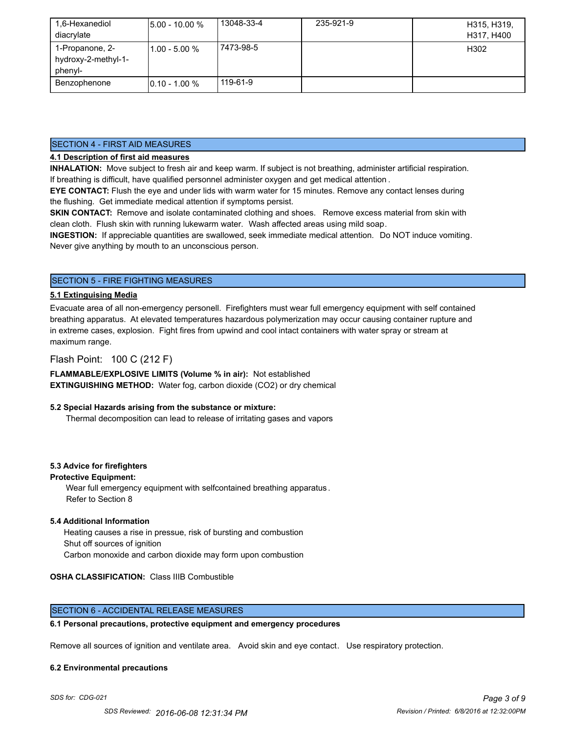| 1,6-Hexanediol<br>diacrylate                      | <b>5.00 - 10.00 %</b> | 13048-33-4 | 235-921-9 | H315, H319,<br>H317, H400 |
|---------------------------------------------------|-----------------------|------------|-----------|---------------------------|
| 1-Propanone, 2-<br>hydroxy-2-methyl-1-<br>phenyl- | l1.00 - 5.00 %        | 7473-98-5  |           | H302                      |
| Benzophenone                                      | $10.10 - 1.00 %$      | 119-61-9   |           |                           |

#### SECTION 4 - FIRST AID MEASURES

# **4.1 Description of first aid measures**

**INHALATION:** Move subject to fresh air and keep warm. If subject is not breathing, administer artificial respiration. If breathing is difficult, have qualified personnel administer oxygen and get medical attention .

**EYE CONTACT:** Flush the eye and under lids with warm water for 15 minutes. Remove any contact lenses during the flushing. Get immediate medical attention if symptoms persist.

**SKIN CONTACT:** Remove and isolate contaminated clothing and shoes. Remove excess material from skin with clean cloth. Flush skin with running lukewarm water. Wash affected areas using mild soap.

**INGESTION:** If appreciable quantities are swallowed, seek immediate medical attention. Do NOT induce vomiting. Never give anything by mouth to an unconscious person.

# SECTION 5 - FIRE FIGHTING MEASURES

#### **5.1 Extinguising Media**

Evacuate area of all non-emergency personell. Firefighters must wear full emergency equipment with self contained breathing apparatus. At elevated temperatures hazardous polymerization may occur causing container rupture and in extreme cases, explosion. Fight fires from upwind and cool intact containers with water spray or stream at maximum range.

# Flash Point: 100 C (212 F)

**FLAMMABLE/EXPLOSIVE LIMITS (Volume % in air):** Not established **EXTINGUISHING METHOD:** Water fog, carbon dioxide (CO2) or dry chemical

#### **5.2 Special Hazards arising from the substance or mixture:**

Thermal decomposition can lead to release of irritating gases and vapors

#### **5.3 Advice for firefighters**

#### **Protective Equipment:**

Wear full emergency equipment with selfcontained breathing apparatus . Refer to Section 8

#### **5.4 Additional Information**

 Heating causes a rise in pressue, risk of bursting and combustion Shut off sources of ignition Carbon monoxide and carbon dioxide may form upon combustion

#### **OSHA CLASSIFICATION:** Class IIIB Combustible

## SECTION 6 - ACCIDENTAL RELEASE MEASURES

#### **6.1 Personal precautions, protective equipment and emergency procedures**

Remove all sources of ignition and ventilate area. Avoid skin and eye contact. Use respiratory protection.

#### **6.2 Environmental precautions**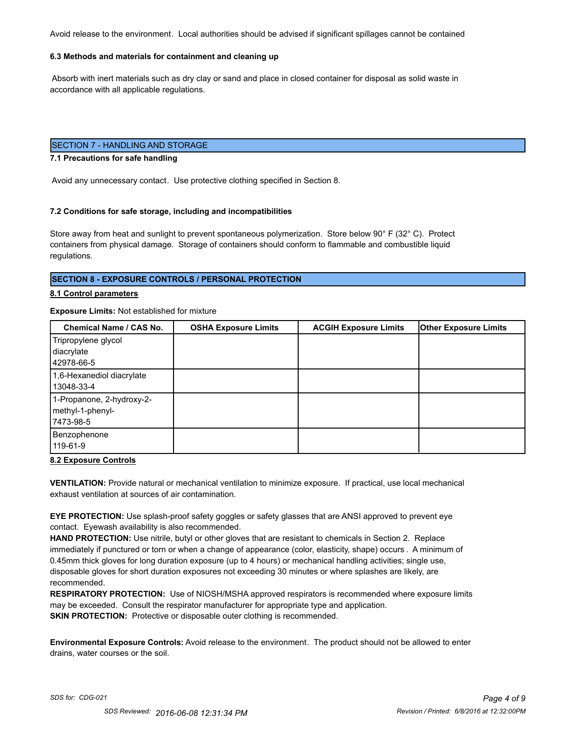Avoid release to the environment. Local authorities should be advised if significant spillages cannot be contained

### **6.3 Methods and materials for containment and cleaning up**

 Absorb with inert materials such as dry clay or sand and place in closed container for disposal as solid waste in accordance with all applicable regulations.

# SECTION 7 - HANDLING AND STORAGE

#### **7.1 Precautions for safe handling**

Avoid any unnecessary contact. Use protective clothing specified in Section 8.

#### **7.2 Conditions for safe storage, including and incompatibilities**

Store away from heat and sunlight to prevent spontaneous polymerization. Store below 90° F (32° C). Protect containers from physical damage. Storage of containers should conform to flammable and combustible liquid regulations.

#### **SECTION 8 - EXPOSURE CONTROLS / PERSONAL PROTECTION**

#### **8.1 Control parameters**

#### **Exposure Limits:** Not established for mixture

| Chemical Name / CAS No.                                     | <b>OSHA Exposure Limits</b> | <b>ACGIH Exposure Limits</b> | <b>Other Exposure Limits</b> |
|-------------------------------------------------------------|-----------------------------|------------------------------|------------------------------|
| Tripropylene glycol<br>diacrylate<br>42978-66-5             |                             |                              |                              |
| 1,6-Hexanediol diacrylate<br>13048-33-4                     |                             |                              |                              |
| 1-Propanone, 2-hydroxy-2-<br>methyl-1-phenyl-<br>17473-98-5 |                             |                              |                              |
| Benzophenone<br>119-61-9                                    |                             |                              |                              |

#### **8.2 Exposure Controls**

**VENTILATION:** Provide natural or mechanical ventilation to minimize exposure. If practical, use local mechanical exhaust ventilation at sources of air contamination.

**EYE PROTECTION:** Use splash-proof safety goggles or safety glasses that are ANSI approved to prevent eye contact. Eyewash availability is also recommended.

**HAND PROTECTION:** Use nitrile, butyl or other gloves that are resistant to chemicals in Section 2. Replace immediately if punctured or torn or when a change of appearance (color, elasticity, shape) occurs . A minimum of 0.45mm thick gloves for long duration exposure (up to 4 hours) or mechanical handling activities; single use, disposable gloves for short duration exposures not exceeding 30 minutes or where splashes are likely, are recommended.

**RESPIRATORY PROTECTION:** Use of NIOSH/MSHA approved respirators is recommended where exposure limits may be exceeded. Consult the respirator manufacturer for appropriate type and application. **SKIN PROTECTION:** Protective or disposable outer clothing is recommended.

**Environmental Exposure Controls:** Avoid release to the environment. The product should not be allowed to enter drains, water courses or the soil.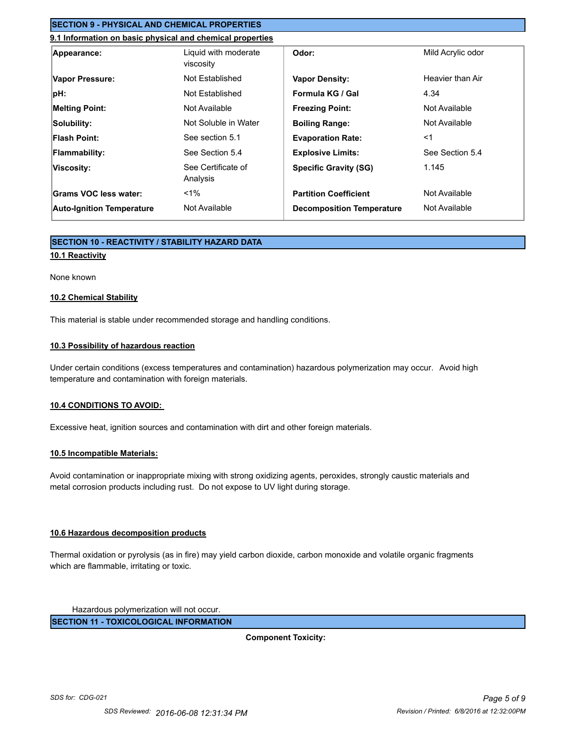# **SECTION 9 - PHYSICAL AND CHEMICAL PROPERTIES**

# **9.1 Information on basic physical and chemical properties**

| Appearance:                      | Liquid with moderate<br>viscosity | Odor:                            | Mild Acrylic odor |
|----------------------------------|-----------------------------------|----------------------------------|-------------------|
| Vapor Pressure:                  | Not Established                   | <b>Vapor Density:</b>            | Heavier than Air  |
| pH:                              | Not Established                   | Formula KG / Gal                 | 4.34              |
| <b>Melting Point:</b>            | Not Available                     | <b>Freezing Point:</b>           | Not Available     |
| Solubility:                      | Not Soluble in Water              | <b>Boiling Range:</b>            | Not Available     |
| <b>Flash Point:</b>              | See section 5.1                   | <b>Evaporation Rate:</b>         | $<$ 1             |
| <b>Flammability:</b>             | See Section 5.4                   | <b>Explosive Limits:</b>         | See Section 5.4   |
| Viscosity:                       | See Certificate of<br>Analysis    | <b>Specific Gravity (SG)</b>     | 1.145             |
| Grams VOC less water:            | $< 1\%$                           | <b>Partition Coefficient</b>     | Not Available     |
| <b>Auto-Ignition Temperature</b> | Not Available                     | <b>Decomposition Temperature</b> | Not Available     |

# **SECTION 10 - REACTIVITY / STABILITY HAZARD DATA**

## **10.1 Reactivity**

#### None known

#### **10.2 Chemical Stability**

This material is stable under recommended storage and handling conditions.

## **10.3 Possibility of hazardous reaction**

Under certain conditions (excess temperatures and contamination) hazardous polymerization may occur. Avoid high temperature and contamination with foreign materials.

#### **10.4 CONDITIONS TO AVOID:**

Excessive heat, ignition sources and contamination with dirt and other foreign materials.

#### **10.5 Incompatible Materials:**

Avoid contamination or inappropriate mixing with strong oxidizing agents, peroxides, strongly caustic materials and metal corrosion products including rust. Do not expose to UV light during storage.

#### **10.6 Hazardous decomposition products**

Thermal oxidation or pyrolysis (as in fire) may yield carbon dioxide, carbon monoxide and volatile organic fragments which are flammable, irritating or toxic.

Hazardous polymerization will not occur.

**SECTION 11 - TOXICOLOGICAL INFORMATION**

**Component Toxicity:**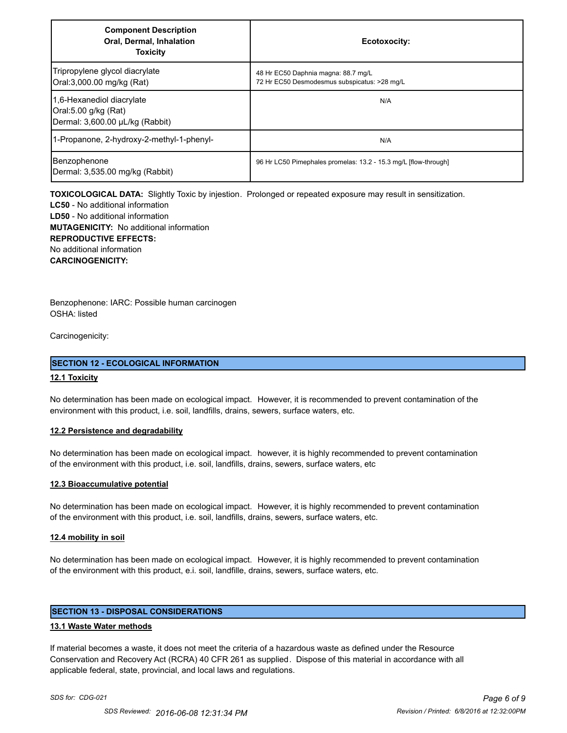| <b>Component Description</b><br><b>Oral, Dermal, Inhalation</b><br><b>Toxicity</b>   | Ecotoxocity:                                                                        |
|--------------------------------------------------------------------------------------|-------------------------------------------------------------------------------------|
| Tripropylene glycol diacrylate<br>Oral:3,000.00 mg/kg (Rat)                          | 48 Hr EC50 Daphnia magna: 88.7 mg/L<br>72 Hr EC50 Desmodesmus subspicatus: >28 mg/L |
| 1,6-Hexanediol diacrylate<br>Oral:5.00 g/kg (Rat)<br>Dermal: 3,600.00 µL/kg (Rabbit) | N/A                                                                                 |
| 1-Propanone, 2-hydroxy-2-methyl-1-phenyl-                                            | N/A                                                                                 |
| Benzophenone<br>Dermal: 3,535.00 mg/kg (Rabbit)                                      | 96 Hr LC50 Pimephales promelas: 13.2 - 15.3 mg/L [flow-through]                     |

**TOXICOLOGICAL DATA:** Slightly Toxic by injestion. Prolonged or repeated exposure may result in sensitization.

**LC50** - No additional information **LD50** - No additional information **MUTAGENICITY:** No additional information **REPRODUCTIVE EFFECTS:** No additional information **CARCINOGENICITY:**

Benzophenone: IARC: Possible human carcinogen OSHA: listed

Carcinogenicity:

## **SECTION 12 - ECOLOGICAL INFORMATION**

## **12.1 Toxicity**

No determination has been made on ecological impact. However, it is recommended to prevent contamination of the environment with this product, i.e. soil, landfills, drains, sewers, surface waters, etc.

#### **12.2 Persistence and degradability**

No determination has been made on ecological impact. however, it is highly recommended to prevent contamination of the environment with this product, i.e. soil, landfills, drains, sewers, surface waters, etc

#### **12.3 Bioaccumulative potential**

No determination has been made on ecological impact. However, it is highly recommended to prevent contamination of the environment with this product, i.e. soil, landfills, drains, sewers, surface waters, etc.

#### **12.4 mobility in soil**

No determination has been made on ecological impact. However, it is highly recommended to prevent contamination of the environment with this product, e.i. soil, landfille, drains, sewers, surface waters, etc.

# **SECTION 13 - DISPOSAL CONSIDERATIONS**

#### **13.1 Waste Water methods**

If material becomes a waste, it does not meet the criteria of a hazardous waste as defined under the Resource Conservation and Recovery Act (RCRA) 40 CFR 261 as supplied. Dispose of this material in accordance with all applicable federal, state, provincial, and local laws and regulations.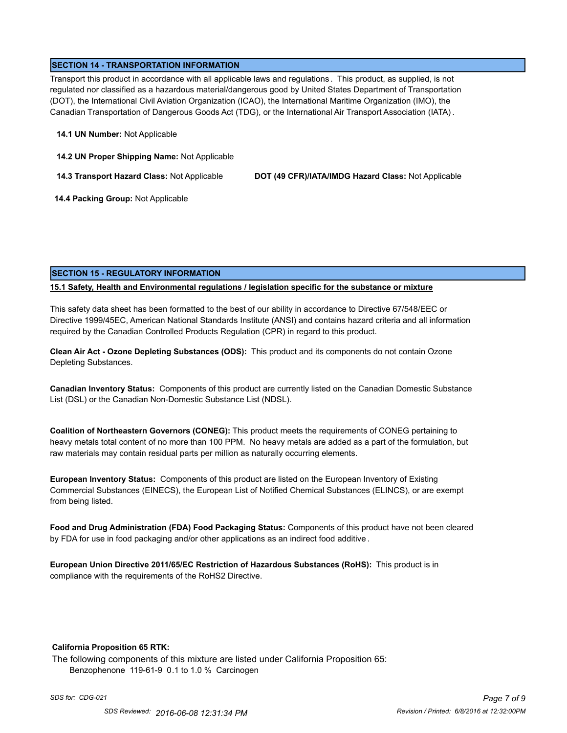## **SECTION 14 - TRANSPORTATION INFORMATION**

Transport this product in accordance with all applicable laws and regulations . This product, as supplied, is not regulated nor classified as a hazardous material/dangerous good by United States Department of Transportation (DOT), the International Civil Aviation Organization (ICAO), the International Maritime Organization (IMO), the Canadian Transportation of Dangerous Goods Act (TDG), or the International Air Transport Association (IATA) .

#### **14.1 UN Number:** Not Applicable

**14.2 UN Proper Shipping Name:** Not Applicable

**14.3 Transport Hazard Class:** Not Applicable **DOT (49 CFR)/IATA/IMDG Hazard Class:** Not Applicable

 **14.4 Packing Group:** Not Applicable

# **SECTION 15 - REGULATORY INFORMATION**

## **15.1 Safety, Health and Environmental regulations / legislation specific for the substance or mixture**

This safety data sheet has been formatted to the best of our ability in accordance to Directive 67/548/EEC or Directive 1999/45EC, American National Standards Institute (ANSI) and contains hazard criteria and all information required by the Canadian Controlled Products Regulation (CPR) in regard to this product.

**Clean Air Act - Ozone Depleting Substances (ODS):** This product and its components do not contain Ozone Depleting Substances.

**Canadian Inventory Status:** Components of this product are currently listed on the Canadian Domestic Substance List (DSL) or the Canadian Non-Domestic Substance List (NDSL).

**Coalition of Northeastern Governors (CONEG):** This product meets the requirements of CONEG pertaining to heavy metals total content of no more than 100 PPM. No heavy metals are added as a part of the formulation, but raw materials may contain residual parts per million as naturally occurring elements.

**European Inventory Status:** Components of this product are listed on the European Inventory of Existing Commercial Substances (EINECS), the European List of Notified Chemical Substances (ELINCS), or are exempt from being listed.

**Food and Drug Administration (FDA) Food Packaging Status:** Components of this product have not been cleared by FDA for use in food packaging and/or other applications as an indirect food additive .

**European Union Directive 2011/65/EC Restriction of Hazardous Substances (RoHS):** This product is in compliance with the requirements of the RoHS2 Directive.

#### **California Proposition 65 RTK:**

The following components of this mixture are listed under California Proposition 65: Benzophenone 119-61-9 0.1 to 1.0 % Carcinogen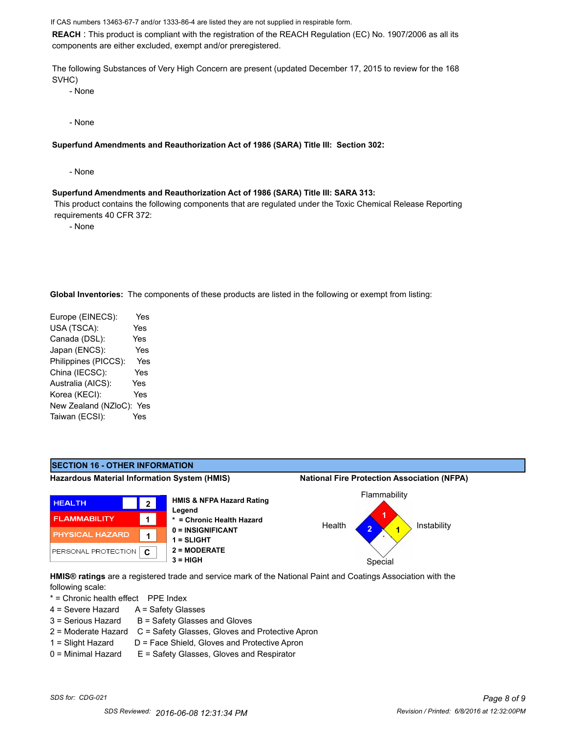If CAS numbers 13463-67-7 and/or 1333-86-4 are listed they are not supplied in respirable form.

**REACH** : This product is compliant with the registration of the REACH Regulation (EC) No. 1907/2006 as all its components are either excluded, exempt and/or preregistered.

The following Substances of Very High Concern are present (updated December 17, 2015 to review for the 168 SVHC)

- None

- None

**Superfund Amendments and Reauthorization Act of 1986 (SARA) Title III: Section 302:**

- None

#### **Superfund Amendments and Reauthorization Act of 1986 (SARA) Title III: SARA 313:**

 This product contains the following components that are regulated under the Toxic Chemical Release Reporting requirements 40 CFR 372:

- None

**Global Inventories:** The components of these products are listed in the following or exempt from listing:

Europe (EINECS): Yes USA (TSCA): Yes Canada (DSL): Yes Japan (ENCS): Yes Philippines (PICCS): Yes China (IECSC): Yes Australia (AICS): Yes Korea (KECI): Yes New Zealand (NZloC): Yes Taiwan (ECSI): Yes



**HMIS® ratings** are a registered trade and service mark of the National Paint and Coatings Association with the following scale:

\* = Chronic health effect PPE Index

- $4 =$  Severe Hazard  $A =$  Safety Glasses
- $3 =$  Serious Hazard  $B =$  Safety Glasses and Gloves
- 2 = Moderate Hazard C = Safety Glasses, Gloves and Protective Apron
- 
- 1 = Slight Hazard D = Face Shield, Gloves and Protective Apron  $0 =$  Minimal Hazard  $E =$  Safety Glasses, Gloves and Respirator